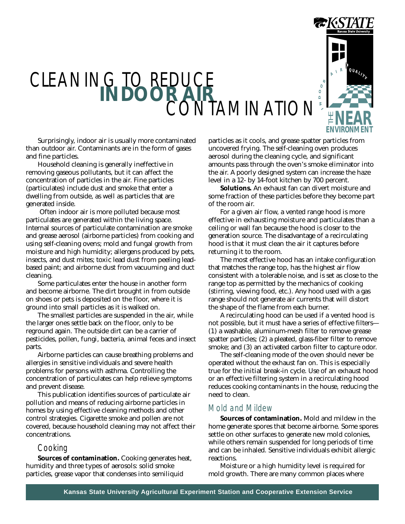

# CLEANING TO RED **TAMINATION**

Surprisingly, indoor air is usually more contaminated than outdoor air. Contaminants are in the form of gases and fine particles.

Household cleaning is generally ineffective in removing gaseous pollutants, but it can affect the concentration of particles in the air. Fine particles (particulates) include dust and smoke that enter a dwelling from outside, as well as particles that are generated inside.

 Often indoor air is more polluted because most particulates are generated within the living space. Internal sources of particulate contamination are smoke and grease aerosol (airborne particles) from cooking and using self-cleaning ovens; mold and fungal growth from moisture and high humidity; allergens produced by pets, insects, and dust mites; toxic lead dust from peeling leadbased paint; and airborne dust from vacuuming and duct cleaning.

Some particulates enter the house in another form and become airborne. The dirt brought in from outside on shoes or pets is deposited on the floor, where it is ground into small particles as it is walked on.

The smallest particles are suspended in the air, while the larger ones settle back on the floor, only to be reground again. The outside dirt can be a carrier of pesticides, pollen, fungi, bacteria, animal feces and insect parts.

Airborne particles can cause breathing problems and allergies in sensitive individuals and severe health problems for persons with asthma. Controlling the concentration of particulates can help relieve symptoms and prevent disease.

This publication identifies sources of particulate air pollution and means of reducing airborne particles in homes by using effective cleaning methods and other control strategies. Cigarette smoke and pollen are not covered, because household cleaning may not affect their concentrations.

## Cooking

**Sources of contamination.** Cooking generates heat, humidity and three types of aerosols: solid smoke particles, grease vapor that condenses into semiliquid

particles as it cools, and grease spatter particles from uncovered frying. The self-cleaning oven produces aerosol during the cleaning cycle, and significant amounts pass through the oven's smoke eliminator into the air. A poorly designed system can increase the haze level in a 12- by 14-foot kitchen by 700 percent.

**Solutions.** An exhaust fan can divert moisture and some fraction of these particles before they become part of the room air.

For a given air flow, a vented range hood is more effective in exhausting moisture and particulates than a ceiling or wall fan because the hood is closer to the generation source. The disadvantage of a recirculating hood is that it must clean the air it captures before returning it to the room.

The most effective hood has an intake configuration that matches the range top, has the highest air flow consistent with a tolerable noise, and is set as close to the range top as permitted by the mechanics of cooking (stirring, viewing food, etc.). Any hood used with a gas range should not generate air currents that will distort the shape of the flame from each burner.

A recirculating hood can be used if a vented hood is not possible, but it must have a series of effective filters— (1) a washable, aluminum-mesh filter to remove grease spatter particles; (2) a pleated, glass-fiber filter to remove smoke; and (3) an activated carbon filter to capture odor.

The self-cleaning mode of the oven should never be operated without the exhaust fan on. This is especially true for the initial break-in cycle. Use of an exhaust hood or an effective filtering system in a recirculating hood reduces cooking contaminants in the house, reducing the need to clean.

## Mold and Mildew

**Sources of contamination.** Mold and mildew in the home generate spores that become airborne. Some spores settle on other surfaces to generate new mold colonies, while others remain suspended for long periods of time and can be inhaled. Sensitive individuals exhibit allergic reactions.

Moisture or a high humidity level is required for mold growth. There are many common places where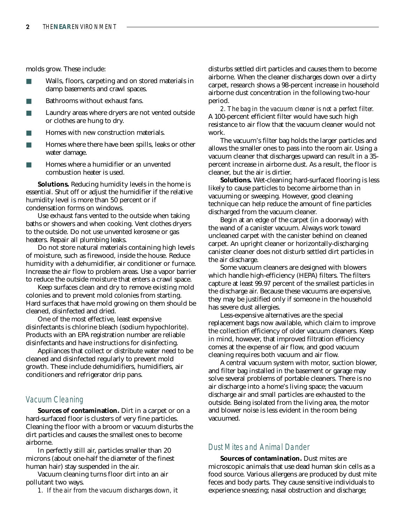molds grow. These include:

- Walls, floors, carpeting and on stored materials in damp basements and crawl spaces.
- Bathrooms without exhaust fans.
- Laundry areas where dryers are not vented outside or clothes are hung to dry.
- Homes with new construction materials.
- Homes where there have been spills, leaks or other water damage.
- Homes where a humidifier or an unvented combustion heater is used.

**Solutions.** Reducing humidity levels in the home is essential. Shut off or adjust the humidifier if the relative humidity level is more than 50 percent or if condensation forms on windows.

Use exhaust fans vented to the outside when taking baths or showers and when cooking. Vent clothes dryers to the outside. Do not use unvented kerosene or gas heaters. Repair all plumbing leaks.

Do not store natural materials containing high levels of moisture, such as firewood, inside the house. Reduce humidity with a dehumidifier, air conditioner or furnace. Increase the air flow to problem areas. Use a vapor barrier to reduce the outside moisture that enters a crawl space.

Keep surfaces clean and dry to remove existing mold colonies and to prevent mold colonies from starting. Hard surfaces that have mold growing on them should be cleaned, disinfected and dried.

One of the most effective, least expensive disinfectants is chlorine bleach (sodium hypochlorite). Products with an EPA registration number are reliable disinfectants and have instructions for disinfecting.

Appliances that collect or distribute water need to be cleaned and disinfected regularly to prevent mold growth. These include dehumidifiers, humidifiers, air conditioners and refrigerator drip pans.

### Vacuum Cleaning

**Sources of contamination.** Dirt in a carpet or on a hard-surfaced floor is clusters of very fine particles. Cleaning the floor with a broom or vacuum disturbs the dirt particles and causes the smallest ones to become airborne.

In perfectly still air, particles smaller than 20 microns (about one-half the diameter of the finest human hair) stay suspended in the air.

Vacuum cleaning turns floor dirt into an air pollutant two ways.

*1. If the air from the vacuum discharges down,* it

disturbs settled dirt particles and causes them to become airborne. When the cleaner discharges down over a dirty carpet, research shows a 98-percent increase in household airborne dust concentration in the following two-hour period.

*2. The bag in the vacuum cleaner is not a perfect filter.* A 100-percent efficient filter would have such high resistance to air flow that the vacuum cleaner would not work.

The vacuum's filter bag holds the larger particles and allows the smaller ones to pass into the room air. Using a vacuum cleaner that discharges upward can result in a 35 percent increase in airborne dust. As a result, the floor is cleaner, but the air is dirtier.

**Solutions.** Wet-cleaning hard-surfaced flooring is less likely to cause particles to become airborne than in vacuuming or sweeping. However, good cleaning technique can help reduce the amount of fine particles discharged from the vacuum cleaner.

Begin at an edge of the carpet (in a doorway) with the wand of a canister vacuum. Always work toward uncleaned carpet with the canister behind on cleaned carpet. An upright cleaner or horizontally-discharging canister cleaner does not disturb settled dirt particles in the air discharge.

Some vacuum cleaners are designed with blowers which handle high-efficiency (HEPA) filters. The filters capture at least 99.97 percent of the smallest particles in the discharge air. Because these vacuums are expensive, they may be justified only if someone in the household has severe dust allergies.

Less-expensive alternatives are the special replacement bags now available, which claim to improve the collection efficiency of older vacuum cleaners. Keep in mind, however, that improved filtration efficiency comes at the expense of air flow, and good vacuum cleaning requires both vacuum and air flow.

A central vacuum system with motor, suction blower, and filter bag installed in the basement or garage may solve several problems of portable cleaners. There is no air discharge into a home's living space; the vacuum discharge air and small particles are exhausted to the outside. Being isolated from the living area, the motor and blower noise is less evident in the room being vacuumed.

## Dust Mites and Animal Dander

**Sources of contamination.** Dust mites are microscopic animals that use dead human skin cells as a food source. Various allergens are produced by dust mite feces and body parts. They cause sensitive individuals to experience sneezing; nasal obstruction and discharge;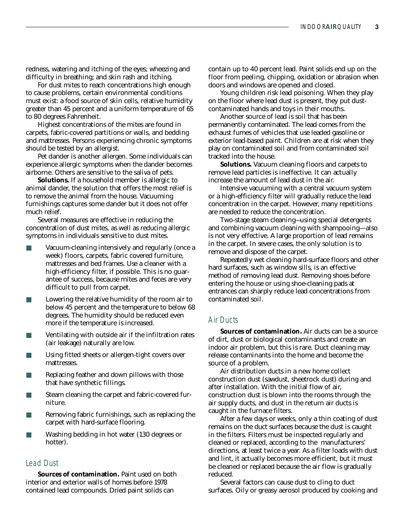redness, watering and itching of the eyes; wheezing and difficulty in breathing; and skin rash and itching.

For dust mites to reach concentrations high enough to cause problems, certain environmental conditions must exist: a food source of skin cells, relative humidity greater than 45 percent and a uniform temperature of 65 to 80 degrees Fahrenheit.

Highest concentrations of the mites are found in carpets, fabric-covered partitions or walls, and bedding and mattresses. Persons experiencing chronic symptoms should be tested by an allergist.

Pet dander is another allergen. Some individuals can experience allergic symptoms when the dander becomes airborne. Others are sensitive to the saliva of pets.

**Solutions.** If a household member is allergic to animal dander, the solution that offers the most relief is to remove the animal from the house. Vacuuming furnishings captures some dander but it does not offer much relief.

Several measures are effective in reducing the concentration of dust mites, as well as reducing allergic symptoms in individuals sensitive to dust mites.

- Vacuum-cleaning intensively and regularly (once a week) floors, carpets, fabric covered furniture, mattresses and bed frames. Use a cleaner with a high-efficiency filter, if possible. This is no guarantee of success, because mites and feces are very difficult to pull from carpet.
- Lowering the relative humidity of the room air to below 45 percent and the temperature to below 68 degrees. The humidity should be reduced even more if the temperature is increased.
- Ventilating with outside air if the infiltration rates (air leakage) naturally are low.
- Using fitted sheets or allergen-tight covers over mattresses.
- Replacing feather and down pillows with those that have synthetic fillings.
- Steam cleaning the carpet and fabric-covered furniture.
- Removing fabric furnishings, such as replacing the carpet with hard-surface flooring.
- Washing bedding in hot water (130 degrees or hotter).

#### Lead Dust

**Sources of contamination.** Paint used on both interior and exterior walls of homes before 1978 contained lead compounds. Dried paint solids can

contain up to 40 percent lead. Paint solids end up on the floor from peeling, chipping, oxidation or abrasion when doors and windows are opened and closed.

Young children risk lead poisoning. When they play on the floor where lead dust is present, they put dustcontaminated hands and toys in their mouths.

Another source of lead is soil that has been permanently contaminated. The lead comes from the exhaust fumes of vehicles that use leaded gasoline or exterior lead-based paint. Children are at risk when they play on contaminated soil and from contaminated soil tracked into the house.

**Solutions.** Vacuum cleaning floors and carpets to remove lead particles is ineffective. It can actually increase the amount of lead dust in the air.

Intensive vacuuming with a central vacuum system or a high-efficiency filter will gradually reduce the lead concentration in the carpet. However, many repetitions are needed to reduce the concentration.

Two-stage steam cleaning—using special detergents and combining vacuum cleaning with shampooing— also is not very effective. A large proportion of lead remains in the carpet. In severe cases, the only solution is to remove and dispose of the carpet.

Repeatedly wet cleaning hard-surface floors and other hard surfaces, such as window sills, is an effective method of removing lead dust. Removing shoes before entering the house or using shoe-cleaning pads at entrances can sharply reduce lead concentrations from contaminated soil.

#### Air Ducts

**Sources of contamination.** Air ducts can be a source of dirt, dust or biological contaminants and create an indoor air problem, but this is rare. Duct cleaning may release contaminants into the home and become the source of a problem.

Air distribution ducts in a new home collect construction dust (sawdust, sheetrock dust) during and after installation. With the initial flow of air, construction dust is blown into the rooms through the air supply ducts, and dust in the return air ducts is caught in the furnace filters.

After a few days or weeks, only a thin coating of dust remains on the duct surfaces because the dust is caught in the filters. Filters must be inspected regularly and cleaned or replaced, according to the manufacturers' directions, at least twice a year. As a filter loads with dust and lint, it actually becomes more efficient, but it must be cleaned or replaced because the air flow is gradually reduced.

Several factors can cause dust to cling to duct surfaces. Oily or greasy aerosol produced by cooking and